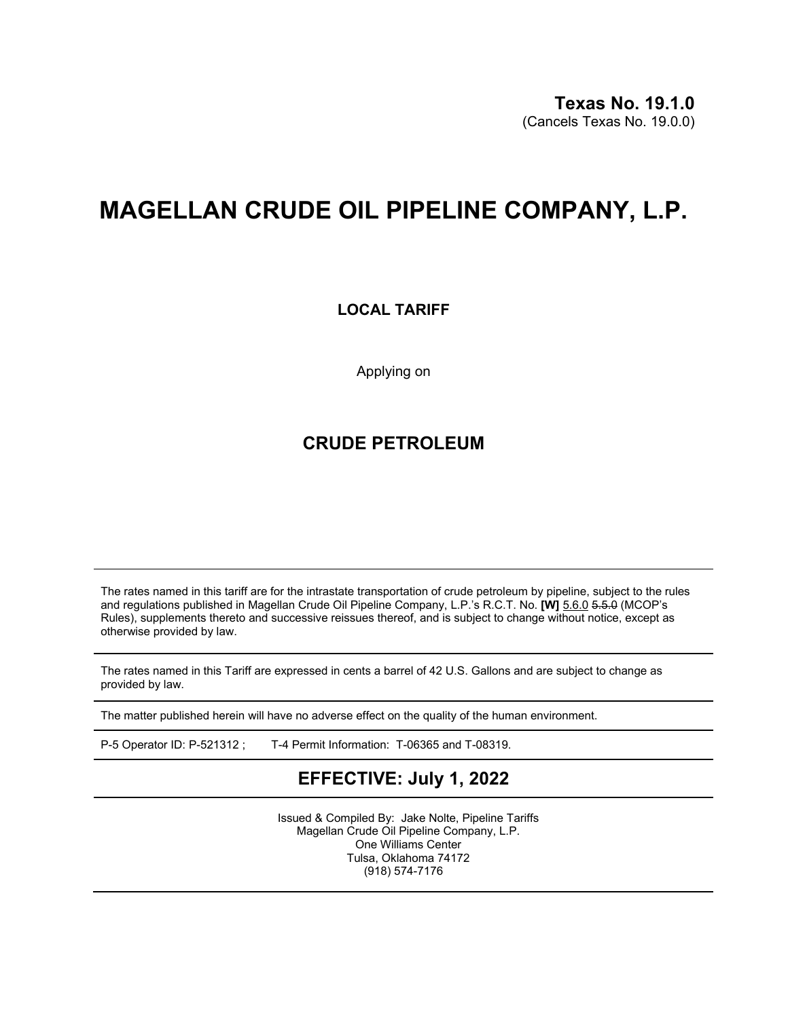## **MAGELLAN CRUDE OIL PIPELINE COMPANY, L.P.**

## **LOCAL TARIFF**

Applying on

## **CRUDE PETROLEUM**

The rates named in this tariff are for the intrastate transportation of crude petroleum by pipeline, subject to the rules and regulations published in Magellan Crude Oil Pipeline Company, L.P.'s R.C.T. No. **[W]** 5.6.0 5.5.0 (MCOP's Rules), supplements thereto and successive reissues thereof, and is subject to change without notice, except as otherwise provided by law.

The rates named in this Tariff are expressed in cents a barrel of 42 U.S. Gallons and are subject to change as provided by law.

The matter published herein will have no adverse effect on the quality of the human environment.

P-5 Operator ID: P-521312 ; T-4 Permit Information: T-06365 and T-08319.

## **EFFECTIVE: July 1, 2022**

Issued & Compiled By: Jake Nolte, Pipeline Tariffs Magellan Crude Oil Pipeline Company, L.P. One Williams Center Tulsa, Oklahoma 74172 (918) 574-7176